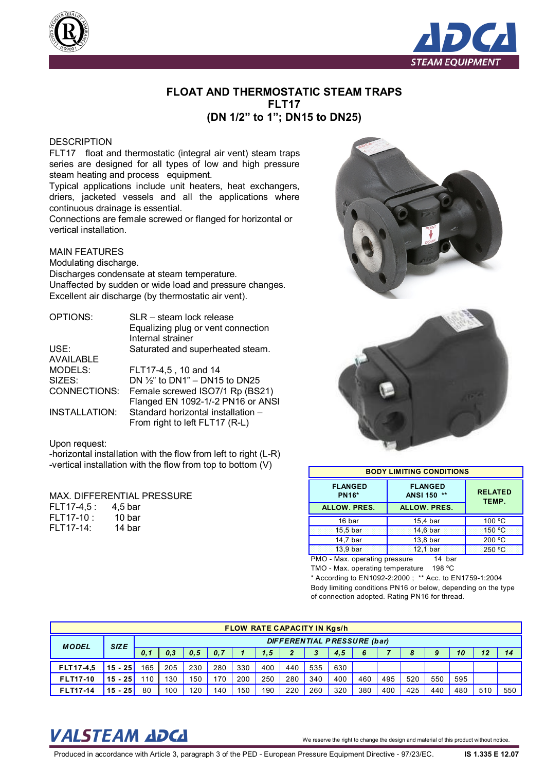



## **FLOAT AND THERMOSTATIC STEAM TRAPS FLT17 (DN 1/2" to 1"; DN15 to DN25)**

### **DESCRIPTION**

FLT17 float and thermostatic (integral air vent) steam traps series are designed for all types of low and high pressure steam heating and process equipment.

Typical applications include unit heaters, heat exchangers, driers, jacketed vessels and all the applications where continuous drainage is essential.

Connections are female screwed or flanged for horizontal or vertical installation.

### MAIN FEATURES

Modulating discharge.

Discharges condensate at steam temperature. Unaffected by sudden or wide load and pressure changes. Excellent air discharge (by thermostatic air vent).

| Equalizing plug or vent connection      |
|-----------------------------------------|
|                                         |
| Saturated and superheated steam.        |
|                                         |
|                                         |
| DN $\frac{1}{2}$ to DN1" – DN15 to DN25 |
| Female screwed ISO7/1 Rp (BS21)         |
| Flanged EN 1092-1/-2 PN16 or ANSI       |
| Standard horizontal installation -      |
| From right to left FLT17 (R-L)          |
|                                         |

#### Upon request:

-horizontal installation with the flow from left to right (L-R) -vertical installation with the flow from top to bottom (V)

#### MAX. DIFFERENTIAL PRESSURE

| FLT17-4,5 : | 4,5 bar |
|-------------|---------|
| FLT17-10 :  | 10 bar  |
| FLT17-14:   | 14 bar  |



| <b>BODY LIMITING CONDITIONS</b> |                               |                         |  |  |  |  |  |  |
|---------------------------------|-------------------------------|-------------------------|--|--|--|--|--|--|
| <b>FLANGED</b><br><b>PN16*</b>  | <b>FLANGED</b><br>ANSI 150 ** | <b>RELATED</b><br>TEMP. |  |  |  |  |  |  |
| <b>ALLOW. PRES.</b>             | <b>ALLOW. PRES.</b>           |                         |  |  |  |  |  |  |
| 16 bar                          | 15,4 bar                      | 100 °C                  |  |  |  |  |  |  |
| 15,5 bar                        | 14,6 bar                      | 150 °C                  |  |  |  |  |  |  |
| 14,7 bar                        | 13,8 bar                      | 200 °C                  |  |  |  |  |  |  |
| 13,9 bar                        | 12,1 bar                      | 250 °C                  |  |  |  |  |  |  |

PMO - Max. operating pressure 14 bar

TMO - Max. operating temperature 198 ºC

\* According to EN1092-2:2000 ; \*\* Acc. to EN1759-1:2004 Body limiting conditions PN16 or below, depending on the type of connection adopted. Rating PN16 for thread.

| <b>FLOW RATE CAPACITY IN Kgs/h</b> |             |                                    |     |     |     |     |     |              |     |     |     |     |     |     |     |     |     |
|------------------------------------|-------------|------------------------------------|-----|-----|-----|-----|-----|--------------|-----|-----|-----|-----|-----|-----|-----|-----|-----|
| <b>MODEL</b>                       | <b>SIZE</b> | <b>DIFFERENTIAL PRESSURE (bar)</b> |     |     |     |     |     |              |     |     |     |     |     |     |     |     |     |
|                                    |             | 0.1                                | 0,3 | 0.5 | 0,7 |     | 1.5 | $\mathbf{2}$ | 3   | 4,5 | 6   |     | 8   | 9   | 10  |     | 14  |
| FLT17-4,5                          | $15 - 25$   | 165                                | 205 | 230 | 280 | 330 | 400 | 440          | 535 | 630 |     |     |     |     |     |     |     |
| <b>FLT17-10</b>                    | $15 - 25$   | 10                                 | 130 | 150 | 170 | 200 | 250 | 280          | 340 | 400 | 460 | 495 | 520 | 550 | 595 |     |     |
| <b>FLT17-14</b>                    | $15 - 25$   | 80                                 | 100 | 120 | 140 | 150 | 190 | 220          | 260 | 320 | 380 | 400 | 425 | 440 | 480 | 51C | 550 |

# VALSTEAM *ADCA* We reserve the right to change the design and material of this product without notice.